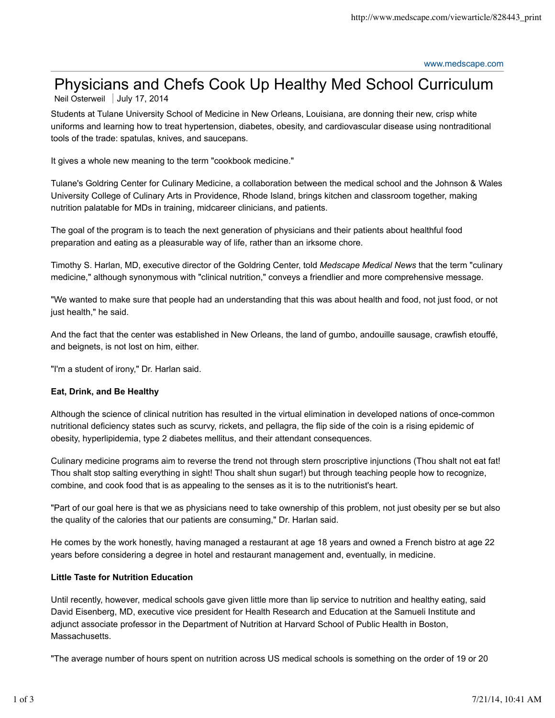# Physicians and Chefs Cook Up Healthy Med School Curriculum

Neil Osterweil | July 17, 2014

Students at Tulane University School of Medicine in New Orleans, Louisiana, are donning their new, crisp white uniforms and learning how to treat hypertension, diabetes, obesity, and cardiovascular disease using nontraditional tools of the trade: spatulas, knives, and saucepans.

It gives a whole new meaning to the term "cookbook medicine."

Tulane's Goldring Center for Culinary Medicine, a collaboration between the medical school and the Johnson & Wales University College of Culinary Arts in Providence, Rhode Island, brings kitchen and classroom together, making nutrition palatable for MDs in training, midcareer clinicians, and patients.

The goal of the program is to teach the next generation of physicians and their patients about healthful food preparation and eating as a pleasurable way of life, rather than an irksome chore.

Timothy S. Harlan, MD, executive director of the Goldring Center, told *Medscape Medical News* that the term "culinary medicine," although synonymous with "clinical nutrition," conveys a friendlier and more comprehensive message.

"We wanted to make sure that people had an understanding that this was about health and food, not just food, or not just health," he said.

And the fact that the center was established in New Orleans, the land of gumbo, andouille sausage, crawfish etouffé, and beignets, is not lost on him, either.

"I'm a student of irony," Dr. Harlan said.

## **Eat, Drink, and Be Healthy**

Although the science of clinical nutrition has resulted in the virtual elimination in developed nations of once-common nutritional deficiency states such as scurvy, rickets, and pellagra, the flip side of the coin is a rising epidemic of obesity, hyperlipidemia, type 2 diabetes mellitus, and their attendant consequences.

Culinary medicine programs aim to reverse the trend not through stern proscriptive injunctions (Thou shalt not eat fat! Thou shalt stop salting everything in sight! Thou shalt shun sugar!) but through teaching people how to recognize, combine, and cook food that is as appealing to the senses as it is to the nutritionist's heart.

"Part of our goal here is that we as physicians need to take ownership of this problem, not just obesity per se but also the quality of the calories that our patients are consuming," Dr. Harlan said.

He comes by the work honestly, having managed a restaurant at age 18 years and owned a French bistro at age 22 years before considering a degree in hotel and restaurant management and, eventually, in medicine.

### **Little Taste for Nutrition Education**

Until recently, however, medical schools gave given little more than lip service to nutrition and healthy eating, said David Eisenberg, MD, executive vice president for Health Research and Education at the Samueli Institute and adjunct associate professor in the Department of Nutrition at Harvard School of Public Health in Boston, Massachusetts.

"The average number of hours spent on nutrition across US medical schools is something on the order of 19 or 20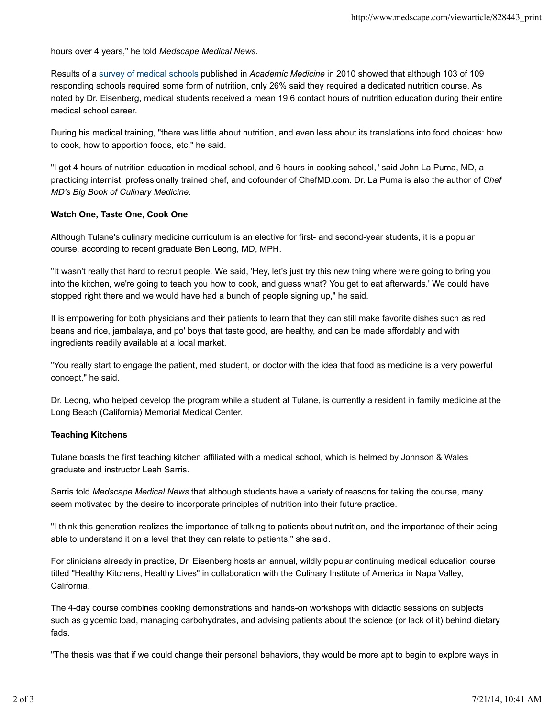hours over 4 years," he told *Medscape Medical News*.

Results of a survey of medical schools published in *Academic Medicine* in 2010 showed that although 103 of 109 responding schools required some form of nutrition, only 26% said they required a dedicated nutrition course. As noted by Dr. Eisenberg, medical students received a mean 19.6 contact hours of nutrition education during their entire medical school career.

During his medical training, "there was little about nutrition, and even less about its translations into food choices: how to cook, how to apportion foods, etc," he said.

"I got 4 hours of nutrition education in medical school, and 6 hours in cooking school," said John La Puma, MD, a practicing internist, professionally trained chef, and cofounder of ChefMD.com. Dr. La Puma is also the author of *Chef MD's Big Book of Culinary Medicine*.

### **Watch One, Taste One, Cook One**

Although Tulane's culinary medicine curriculum is an elective for first- and second-year students, it is a popular course, according to recent graduate Ben Leong, MD, MPH.

"It wasn't really that hard to recruit people. We said, 'Hey, let's just try this new thing where we're going to bring you into the kitchen, we're going to teach you how to cook, and guess what? You get to eat afterwards.' We could have stopped right there and we would have had a bunch of people signing up," he said.

It is empowering for both physicians and their patients to learn that they can still make favorite dishes such as red beans and rice, jambalaya, and po' boys that taste good, are healthy, and can be made affordably and with ingredients readily available at a local market.

"You really start to engage the patient, med student, or doctor with the idea that food as medicine is a very powerful concept," he said.

Dr. Leong, who helped develop the program while a student at Tulane, is currently a resident in family medicine at the Long Beach (California) Memorial Medical Center.

### **Teaching Kitchens**

Tulane boasts the first teaching kitchen affiliated with a medical school, which is helmed by Johnson & Wales graduate and instructor Leah Sarris.

Sarris told *Medscape Medical News* that although students have a variety of reasons for taking the course, many seem motivated by the desire to incorporate principles of nutrition into their future practice.

"I think this generation realizes the importance of talking to patients about nutrition, and the importance of their being able to understand it on a level that they can relate to patients," she said.

For clinicians already in practice, Dr. Eisenberg hosts an annual, wildly popular continuing medical education course titled "Healthy Kitchens, Healthy Lives" in collaboration with the Culinary Institute of America in Napa Valley, California.

The 4-day course combines cooking demonstrations and hands-on workshops with didactic sessions on subjects such as glycemic load, managing carbohydrates, and advising patients about the science (or lack of it) behind dietary fads.

"The thesis was that if we could change their personal behaviors, they would be more apt to begin to explore ways in